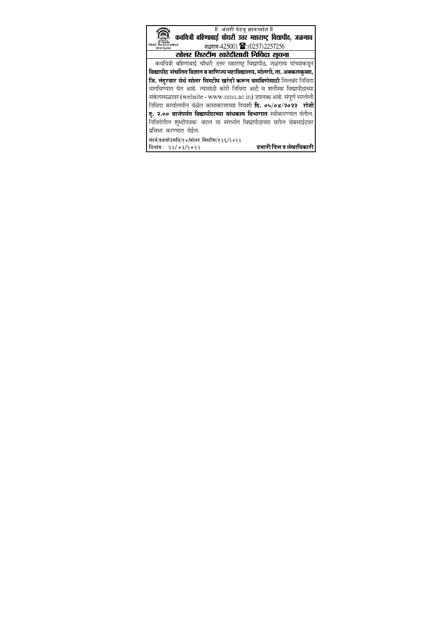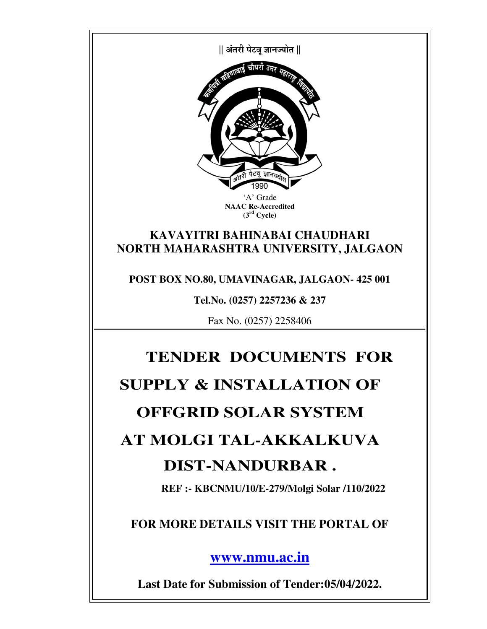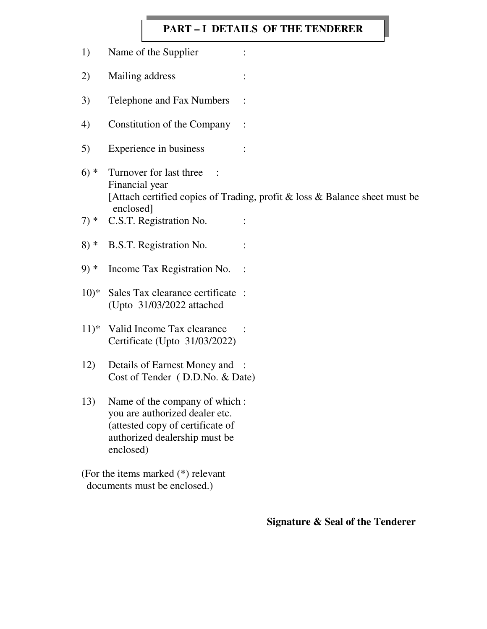### **PART – I DETAILS OF THE TENDERER**

1) Name of the Supplier : 2) Mailing address : 3) Telephone and Fax Numbers : 4) Constitution of the Company : 5) Experience in business :  $6$ ) \* Turnover for last three : Financial year [Attach certified copies of Trading, profit & loss & Balance sheet must be enclosed]  $7)*$  C.S.T. Registration No. : 8) \* B.S.T. Registration No. : 9) \* Income Tax Registration No. : 10)\* Sales Tax clearance certificate : (Upto 31/03/2022 attached 11)\* Valid Income Tax clearance : Certificate (Upto 31/03/2022) 12) Details of Earnest Money and : Cost of Tender( D.D.No. & Date) 13) Name of the company of which : you are authorized dealer etc. (attested copy of certificate of authorized dealership must be enclosed) (For the items marked (\*) relevant

documents must be enclosed.)

**Signature & Seal of the Tenderer**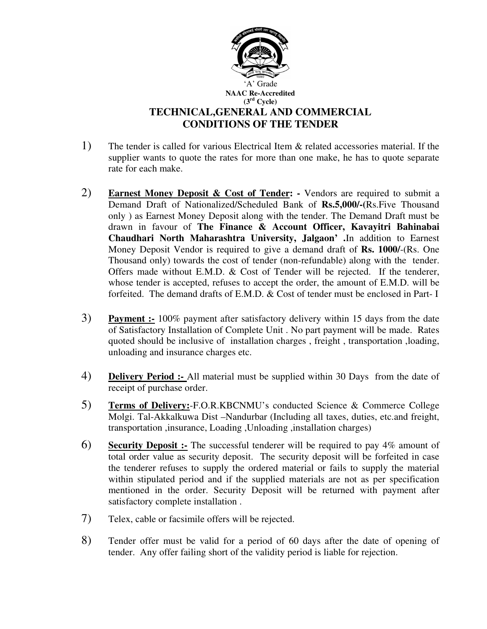

- 1) The tender is called for various Electrical Item & related accessories material. If the supplier wants to quote the rates for more than one make, he has to quote separate rate for each make.
- 2) **Earnest Money Deposit & Cost of Tender: -** Vendors are required to submit a Demand Draft of Nationalized/Scheduled Bank of **Rs.5,000/-(**Rs.Five Thousand only ) as Earnest Money Deposit along with the tender. The Demand Draft must be drawn in favour of **The Finance & Account Officer, Kavayitri Bahinabai Chaudhari North Maharashtra University, Jalgaon' .**In addition to Earnest Money Deposit Vendor is required to give a demand draft of **Rs. 1000/**-(Rs. One Thousand only) towards the cost of tender (non-refundable) along with the tender. Offers made without E.M.D. & Cost of Tender will be rejected. If the tenderer, whose tender is accepted, refuses to accept the order, the amount of E.M.D. will be forfeited. The demand drafts of E.M.D. & Cost of tender must be enclosed in Part- I
- 3) **Payment :-** 100% payment after satisfactory delivery within 15 days from the date of Satisfactory Installation of Complete Unit . No part payment will be made. Rates quoted should be inclusive of installation charges , freight , transportation ,loading, unloading and insurance charges etc.
- 4) **Delivery Period :-** All material must be supplied within 30 Days from the date of receipt of purchase order.
- 5) **Terms of Delivery:**-F.O.R.KBCNMU's conducted Science & Commerce College Molgi. Tal-Akkalkuwa Dist –Nandurbar (Including all taxes, duties, etc.and freight, transportation ,insurance, Loading ,Unloading ,installation charges)
- 6) **Security Deposit :-** The successful tenderer will be required to pay 4% amount of total order value as security deposit. The security deposit will be forfeited in case the tenderer refuses to supply the ordered material or fails to supply the material within stipulated period and if the supplied materials are not as per specification mentioned in the order. Security Deposit will be returned with payment after satisfactory complete installation .
- 7) Telex, cable or facsimile offers will be rejected.
- 8) Tender offer must be valid for a period of 60 days after the date of opening of tender. Any offer failing short of the validity period is liable for rejection.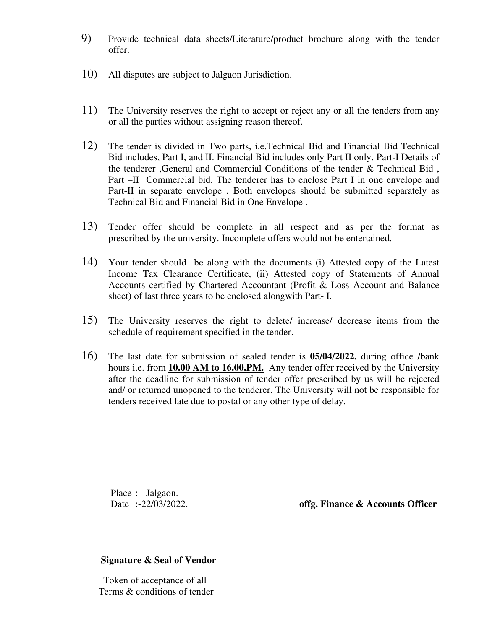- 9) Provide technical data sheets/Literature/product brochure along with the tender offer.
- 10) All disputes are subject to Jalgaon Jurisdiction.
- 11) The University reserves the right to accept or reject any or all the tenders from any or all the parties without assigning reason thereof.
- 12) The tender is divided in Two parts, i.e.Technical Bid and Financial Bid Technical Bid includes, Part I, and II. Financial Bid includes only Part II only. Part-I Details of the tenderer ,General and Commercial Conditions of the tender & Technical Bid , Part –II Commercial bid. The tenderer has to enclose Part I in one envelope and Part-II in separate envelope . Both envelopes should be submitted separately as Technical Bid and Financial Bid in One Envelope .
- 13) Tender offer should be complete in all respect and as per the format as prescribed by the university. Incomplete offers would not be entertained.
- 14) Your tender should be along with the documents (i) Attested copy of the Latest Income Tax Clearance Certificate, (ii) Attested copy of Statements of Annual Accounts certified by Chartered Accountant (Profit & Loss Account and Balance sheet) of last three years to be enclosed alongwith Part- I.
- 15) The University reserves the right to delete/ increase/ decrease items from the schedule of requirement specified in the tender.
- 16) The last date for submission of sealed tender is **05/04/2022.** during office /bank hours i.e. from **10.00 AM to 16.00.PM.** Any tender offer received by the University after the deadline for submission of tender offer prescribed by us will be rejected and/ or returned unopened to the tenderer. The University will not be responsible for tenders received late due to postal or any other type of delay.

Place :- Jalgaon.

Date :-22/03/2022. **offg. Finance & Accounts Officer** 

#### **Signature & Seal of Vendor**

 Token of acceptance of all Terms & conditions of tender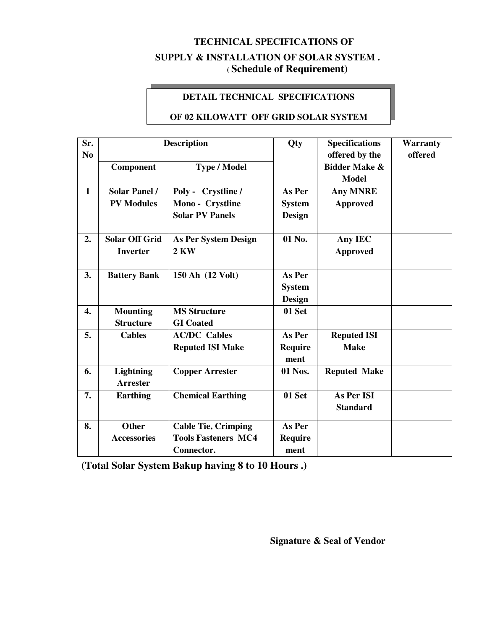# **TECHNICAL SPECIFICATIONS OF SUPPLY & INSTALLATION OF SOLAR SYSTEM .**

**( Schedule of Requirement)** 

### **DETAIL TECHNICAL SPECIFICATIONS**

#### **OF 02 KILOWATT OFF GRID SOLAR SYSTEM**

| Sr.<br>N <sub>0</sub> | <b>Description</b>                        |                                                                        | Qty                               | <b>Specifications</b><br>offered by the  | <b>Warranty</b><br>offered |
|-----------------------|-------------------------------------------|------------------------------------------------------------------------|-----------------------------------|------------------------------------------|----------------------------|
|                       | Component                                 | <b>Type / Model</b>                                                    |                                   | <b>Bidder Make &amp;</b><br><b>Model</b> |                            |
| $\mathbf{1}$          | <b>Solar Panel /</b><br><b>PV Modules</b> | Poly - Crystline /<br>Mono - Crystline<br><b>Solar PV Panels</b>       | As Per<br><b>System</b><br>Design | <b>Any MNRE</b><br><b>Approved</b>       |                            |
| 2.                    | <b>Solar Off Grid</b><br><b>Inverter</b>  | <b>As Per System Design</b><br>$2$ KW                                  | 01 No.                            | Any IEC<br><b>Approved</b>               |                            |
| 3.                    | <b>Battery Bank</b>                       | 150 Ah (12 Volt)                                                       | As Per<br><b>System</b><br>Design |                                          |                            |
| $\overline{4}$ .      | <b>Mounting</b><br><b>Structure</b>       | <b>MS Structure</b><br><b>GI</b> Coated                                | 01 Set                            |                                          |                            |
| 5.                    | <b>Cables</b>                             | <b>AC/DC</b> Cables<br><b>Reputed ISI Make</b>                         | As Per<br><b>Require</b><br>ment  | <b>Reputed ISI</b><br><b>Make</b>        |                            |
| 6.                    | <b>Lightning</b><br><b>Arrester</b>       | <b>Copper Arrester</b>                                                 | 01 Nos.                           | <b>Reputed Make</b>                      |                            |
| 7.                    | <b>Earthing</b>                           | <b>Chemical Earthing</b>                                               | 01 Set                            | As Per ISI<br><b>Standard</b>            |                            |
| 8.                    | <b>Other</b><br><b>Accessories</b>        | <b>Cable Tie, Crimping</b><br><b>Tools Fasteners MC4</b><br>Connector. | As Per<br><b>Require</b><br>ment  |                                          |                            |

**(Total Solar System Bakup having 8 to 10 Hours .)**  .<br>.

**Signature & Seal of Vendor**